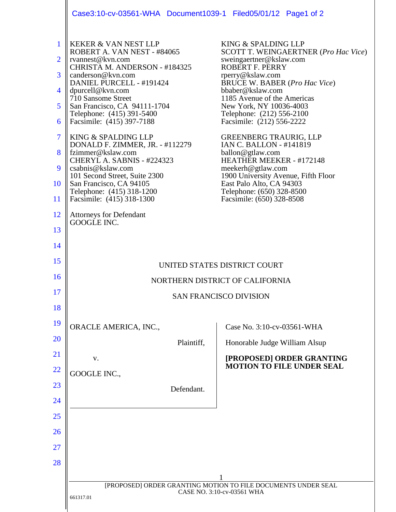|                               | Case3:10-cv-03561-WHA Document1039-1 Filed05/01/12 Page1 of 2               |                                                                                     |
|-------------------------------|-----------------------------------------------------------------------------|-------------------------------------------------------------------------------------|
| $\mathbf{1}$                  | KEKER & VAN NEST LLP<br>ROBERT A. VAN NEST - #84065                         | KING & SPALDING LLP<br>SCOTT T. WEINGAERTNER (Pro Hac Vice)                         |
| $\overline{2}$                | rvannest@kvn.com<br>CHRISTA M. ANDERSON - #184325                           | sweingaertner@kslaw.com<br>ROBERT F. PERRY                                          |
| 3                             | canderson@kvn.com<br>DANIEL PURCELL - #191424                               | rperry@kslaw.com<br><b>BRUCE W. BABER (Pro Hac Vice)</b>                            |
| 4                             | dpurcell@kvn.com<br>710 Sansome Street                                      | bbaber@kslaw.com<br>1185 Avenue of the Americas                                     |
| 5                             | San Francisco, CA 94111-1704<br>Telephone: (415) 391-5400                   | New York, NY 10036-4003<br>Telephone: (212) 556-2100                                |
| 6                             | Facsimile: (415) 397-7188                                                   | Facsimile: (212) 556-2222                                                           |
| $\overline{\mathcal{I}}$<br>8 | KING & SPALDING LLP<br>DONALD F. ZIMMER, JR. - #112279<br>fzimmer@kslaw.com | <b>GREENBERG TRAURIG, LLP</b><br><b>IAN C. BALLON - #141819</b><br>ballon@gtlaw.com |
| 9                             | CHERYL A. SABNIS - #224323<br>csabnis@kslaw.com                             | <b>HEATHER MEEKER - #172148</b><br>meekerh@gtlaw.com                                |
| <b>10</b>                     | 101 Second Street, Suite 2300<br>San Francisco, CA 94105                    | 1900 University Avenue, Fifth Floor<br>East Palo Alto, CA 94303                     |
| 11                            | Telephone: (415) 318-1200<br>Facsimile: (415) 318-1300                      | Telephone: (650) 328-8500<br>Facsimile: (650) 328-8508                              |
| <b>12</b>                     | <b>Attorneys for Defendant</b><br>GOOGLE INC.                               |                                                                                     |
| 13                            |                                                                             |                                                                                     |
| 14                            |                                                                             |                                                                                     |
| 15                            | UNITED STATES DISTRICT COURT                                                |                                                                                     |
| 16                            | NORTHERN DISTRICT OF CALIFORNIA                                             |                                                                                     |
| 17                            | <b>SAN FRANCISCO DIVISION</b>                                               |                                                                                     |
| 18                            |                                                                             |                                                                                     |
| 19                            | ORACLE AMERICA, INC.,                                                       | Case No. 3:10-cv-03561-WHA                                                          |
| 20                            | Plaintiff,                                                                  | Honorable Judge William Alsup                                                       |
| 21                            | V.                                                                          | [PROPOSED] ORDER GRANTING<br><b>MOTION TO FILE UNDER SEAL</b>                       |
| 22                            | GOOGLE INC.,                                                                |                                                                                     |
| 23                            | Defendant.                                                                  |                                                                                     |
| 24                            |                                                                             |                                                                                     |
| 25                            |                                                                             |                                                                                     |
| 26                            |                                                                             |                                                                                     |
| 27                            |                                                                             |                                                                                     |
| 28                            |                                                                             |                                                                                     |
|                               | [PROPOSED] ORDER GRANTING MOTION TO FILE DOCUMENTS UNDER SEAL               |                                                                                     |
|                               | CASE NO. 3:10-cv-03561 WHA<br>661317.01                                     |                                                                                     |